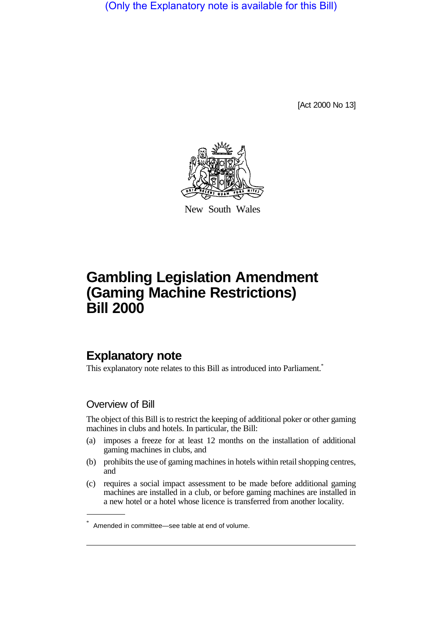(Only the Explanatory note is available for this Bill)

[Act 2000 No 13]



New South Wales

## **Gambling Legislation Amendment (Gaming Machine Restrictions) Bill 2000**

## **Explanatory note**

This explanatory note relates to this Bill as introduced into Parliament.<sup>\*</sup>

## Overview of Bill

The object of this Bill is to restrict the keeping of additional poker or other gaming machines in clubs and hotels. In particular, the Bill:

- (a) imposes a freeze for at least 12 months on the installation of additional gaming machines in clubs, and
- (b) prohibits the use of gaming machines in hotels within retail shopping centres, and
- (c) requires a social impact assessment to be made before additional gaming machines are installed in a club, or before gaming machines are installed in a new hotel or a hotel whose licence is transferred from another locality.

<sup>\*</sup> Amended in committee—see table at end of volume.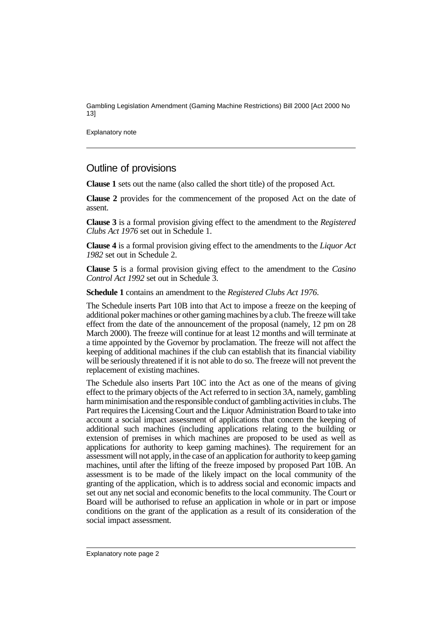Gambling Legislation Amendment (Gaming Machine Restrictions) Bill 2000 [Act 2000 No 13]

Explanatory note

## Outline of provisions

**Clause 1** sets out the name (also called the short title) of the proposed Act.

**Clause 2** provides for the commencement of the proposed Act on the date of assent.

**Clause 3** is a formal provision giving effect to the amendment to the *Registered Clubs Act 1976* set out in Schedule 1.

**Clause 4** is a formal provision giving effect to the amendments to the *Liquor Act 1982* set out in Schedule 2.

**Clause 5** is a formal provision giving effect to the amendment to the *Casino Control Act 1992* set out in Schedule 3.

**Schedule 1** contains an amendment to the *Registered Clubs Act 1976*.

The Schedule inserts Part 10B into that Act to impose a freeze on the keeping of additional poker machines or other gaming machines by a club. The freeze will take effect from the date of the announcement of the proposal (namely, 12 pm on 28 March 2000). The freeze will continue for at least 12 months and will terminate at a time appointed by the Governor by proclamation. The freeze will not affect the keeping of additional machines if the club can establish that its financial viability will be seriously threatened if it is not able to do so. The freeze will not prevent the replacement of existing machines.

The Schedule also inserts Part 10C into the Act as one of the means of giving effect to the primary objects of the Act referred to in section 3A, namely, gambling harm minimisation and the responsible conduct of gambling activities in clubs. The Part requires the Licensing Court and the Liquor Administration Board to take into account a social impact assessment of applications that concern the keeping of additional such machines (including applications relating to the building or extension of premises in which machines are proposed to be used as well as applications for authority to keep gaming machines). The requirement for an assessment will not apply, in the case of an application for authority to keep gaming machines, until after the lifting of the freeze imposed by proposed Part 10B. An assessment is to be made of the likely impact on the local community of the granting of the application, which is to address social and economic impacts and set out any net social and economic benefits to the local community. The Court or Board will be authorised to refuse an application in whole or in part or impose conditions on the grant of the application as a result of its consideration of the social impact assessment.